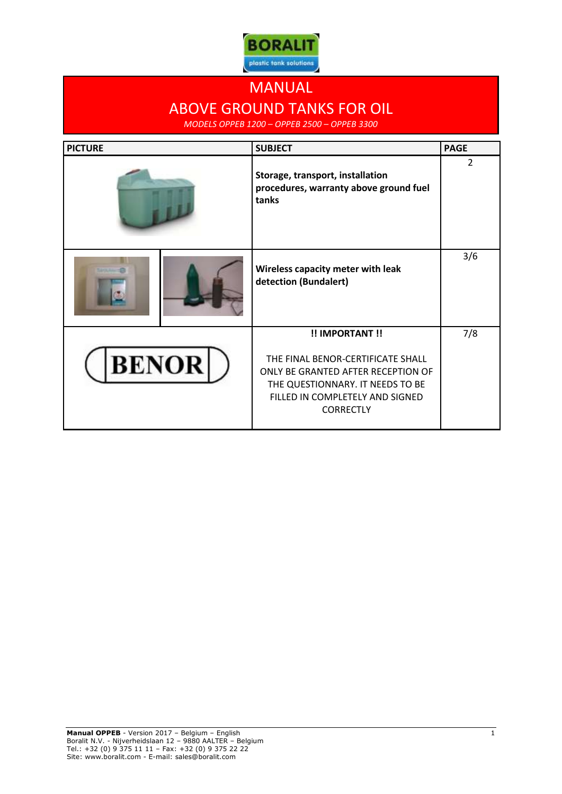

## MANUAL ABOVE GROUND TANKS FOR OIL

*MODELS OPPEB 1200 – OPPEB 2500 – OPPEB 3300*

| <b>PICTURE</b> |              | <b>SUBJECT</b>                                                                                                                                                     | <b>PAGE</b> |
|----------------|--------------|--------------------------------------------------------------------------------------------------------------------------------------------------------------------|-------------|
|                |              | Storage, transport, installation<br>procedures, warranty above ground fuel<br>tanks                                                                                | 2           |
|                |              | Wireless capacity meter with leak<br>detection (Bundalert)                                                                                                         | 3/6         |
|                |              | !! IMPORTANT !!                                                                                                                                                    | 7/8         |
|                | <b>BENOR</b> | THE FINAL BENOR-CERTIFICATE SHALL<br>ONLY BE GRANTED AFTER RECEPTION OF<br>THE QUESTIONNARY. IT NEEDS TO BE<br>FILLED IN COMPLETELY AND SIGNED<br><b>CORRECTLY</b> |             |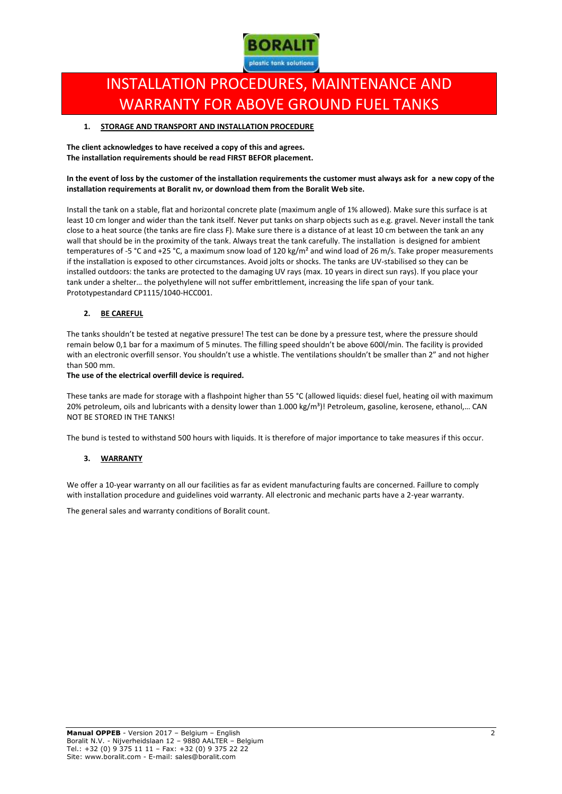

# INSTALLATION PROCEDURES, MAINTENANCE AND WARRANTY FOR ABOVE GROUND FUEL TANKS

#### **1. STORAGE AND TRANSPORT AND INSTALLATION PROCEDURE**

**The client acknowledges to have received a copy of this and agrees. The installation requirements should be read FIRST BEFOR placement.**

#### **In the event of loss by the customer of the installation requirements the customer must always ask for a new copy of the installation requirements at Boralit nv, or download them from the Boralit Web site.**

Install the tank on a stable, flat and horizontal concrete plate (maximum angle of 1% allowed). Make sure this surface is at least 10 cm longer and wider than the tank itself. Never put tanks on sharp objects such as e.g. gravel. Never install the tank close to a heat source (the tanks are fire class F). Make sure there is a distance of at least 10 cm between the tank an any wall that should be in the proximity of the tank. Always treat the tank carefully. The installation is designed for ambient temperatures of -5 °C and +25 °C, a maximum snow load of 120 kg/m<sup>2</sup> and wind load of 26 m/s. Take proper measurements if the installation is exposed to other circumstances. Avoid jolts or shocks. The tanks are UV-stabilised so they can be installed outdoors: the tanks are protected to the damaging UV rays (max. 10 years in direct sun rays). If you place your tank under a shelter… the polyethylene will not suffer embrittlement, increasing the life span of your tank. Prototypestandard CP1115/1040-HCC001.

#### **2. BE CAREFUL**

The tanks shouldn't be tested at negative pressure! The test can be done by a pressure test, where the pressure should remain below 0,1 bar for a maximum of 5 minutes. The filling speed shouldn't be above 600l/min. The facility is provided with an electronic overfill sensor. You shouldn't use a whistle. The ventilations shouldn't be smaller than 2" and not higher than 500 mm.

#### **The use of the electrical overfill device is required.**

These tanks are made for storage with a flashpoint higher than 55 °C (allowed liquids: diesel fuel, heating oil with maximum 20% petroleum, oils and lubricants with a density lower than 1.000 kg/m<sup>3</sup>)! Petroleum, gasoline, kerosene, ethanol,... CAN NOT BE STORED IN THE TANKS!

The bund is tested to withstand 500 hours with liquids. It is therefore of major importance to take measures if this occur.

#### **3. WARRANTY**

We offer a 10-year warranty on all our facilities as far as evident manufacturing faults are concerned. Faillure to comply with installation procedure and guidelines void warranty. All electronic and mechanic parts have a 2-year warranty.

The general sales and warranty conditions of Boralit count.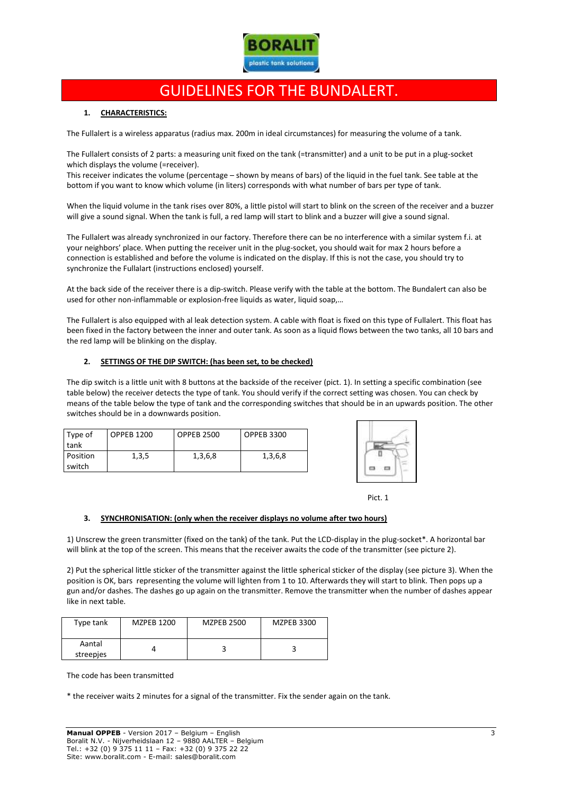

### GUIDELINES FOR THE BUNDALERT.

#### **1. CHARACTERISTICS:**

The Fullalert is a wireless apparatus (radius max. 200m in ideal circumstances) for measuring the volume of a tank.

The Fullalert consists of 2 parts: a measuring unit fixed on the tank (=transmitter) and a unit to be put in a plug-socket which displays the volume (=receiver).

This receiver indicates the volume (percentage – shown by means of bars) of the liquid in the fuel tank. See table at the bottom if you want to know which volume (in liters) corresponds with what number of bars per type of tank.

When the liquid volume in the tank rises over 80%, a little pistol will start to blink on the screen of the receiver and a buzzer will give a sound signal. When the tank is full, a red lamp will start to blink and a buzzer will give a sound signal.

The Fullalert was already synchronized in our factory. Therefore there can be no interference with a similar system f.i. at your neighbors' place. When putting the receiver unit in the plug-socket, you should wait for max 2 hours before a connection is established and before the volume is indicated on the display. If this is not the case, you should try to synchronize the Fullalart (instructions enclosed) yourself.

At the back side of the receiver there is a dip-switch. Please verify with the table at the bottom. The Bundalert can also be used for other non-inflammable or explosion-free liquids as water, liquid soap,…

The Fullalert is also equipped with al leak detection system. A cable with float is fixed on this type of Fullalert. This float has been fixed in the factory between the inner and outer tank. As soon as a liquid flows between the two tanks, all 10 bars and the red lamp will be blinking on the display.

#### **2. SETTINGS OF THE DIP SWITCH: (has been set, to be checked)**

The dip switch is a little unit with 8 buttons at the backside of the receiver (pict. 1). In setting a specific combination (see table below) the receiver detects the type of tank. You should verify if the correct setting was chosen. You can check by means of the table below the type of tank and the corresponding switches that should be in an upwards position. The other switches should be in a downwards position.

| Type of         | <b>OPPEB 1200</b> | <b>OPPEB 2500</b> | <b>OPPEB 3300</b> |
|-----------------|-------------------|-------------------|-------------------|
| tank            |                   |                   |                   |
| <b>Position</b> | 1,3,5             | 1,3,6,8           | 1,3,6,8           |
| switch          |                   |                   |                   |





#### **3. SYNCHRONISATION: (only when the receiver displays no volume after two hours)**

1) Unscrew the green transmitter (fixed on the tank) of the tank. Put the LCD-display in the plug-socket\*. A horizontal bar will blink at the top of the screen. This means that the receiver awaits the code of the transmitter (see picture 2).

2) Put the spherical little sticker of the transmitter against the little spherical sticker of the display (see picture 3). When the position is OK, bars representing the volume will lighten from 1 to 10. Afterwards they will start to blink. Then pops up a gun and/or dashes. The dashes go up again on the transmitter. Remove the transmitter when the number of dashes appear like in next table.

| Type tank           | <b>MZPEB 1200</b> | <b>MZPEB 2500</b> | <b>MZPEB 3300</b> |
|---------------------|-------------------|-------------------|-------------------|
| Aantal<br>streepjes |                   |                   |                   |

The code has been transmitted

\* the receiver waits 2 minutes for a signal of the transmitter. Fix the sender again on the tank.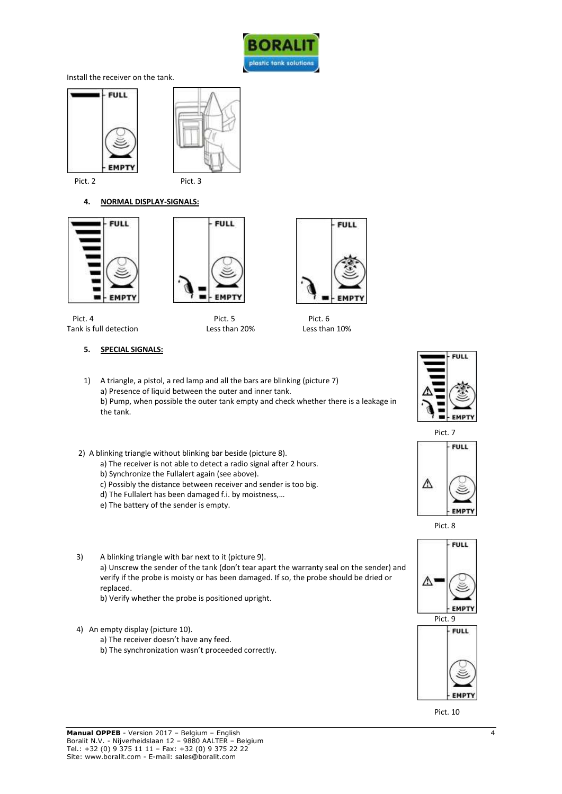

Install the receiver on the tank.





#### **4. NORMAL DISPLAY-SIGNALS:**





Pict. 4 Pict. 5 Pict. 5 Pict. 6 Tank is full detection Less than 20% Less than 10%



### **5. SPECIAL SIGNALS:**

1) A triangle, a pistol, a red lamp and all the bars are blinking (picture 7) a) Presence of liquid between the outer and inner tank. b) Pump, when possible the outer tank empty and check whether there is a leakage in the tank.

- 2) A blinking triangle without blinking bar beside (picture 8).
	- a) The receiver is not able to detect a radio signal after 2 hours.
	- b) Synchronize the Fullalert again (see above).
	- c) Possibly the distance between receiver and sender is too big.
	- d) The Fullalert has been damaged f.i. by moistness,…
	- e) The battery of the sender is empty.
- 3) A blinking triangle with bar next to it (picture 9). a) Unscrew the sender of the tank (don't tear apart the warranty seal on the sender) and verify if the probe is moisty or has been damaged. If so, the probe should be dried or replaced.
	- b) Verify whether the probe is positioned upright.
- 4) An empty display (picture 10).
	- a) The receiver doesn't have any feed.
	- b) The synchronization wasn't proceeded correctly.









Pict. 10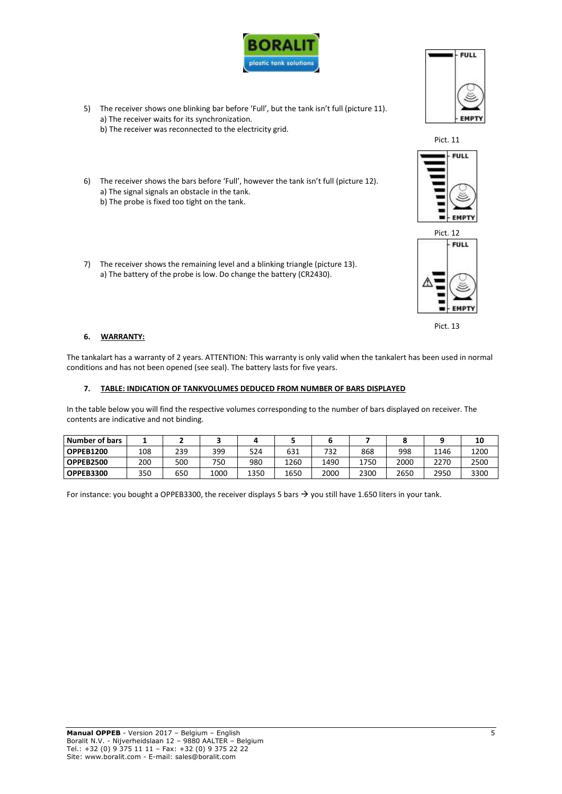

- 5) The receiver shows one blinking bar before 'Full', but the tank isn't full (picture 11). a) The receiver waits for its synchronization.
	- b) The receiver was reconnected to the electricity grid.
- 6) The receiver shows the bars before 'Full', however the tank isn't full (picture 12). a) The signal signals an obstacle in the tank. b) The probe is fixed too tight on the tank.
- 7) The receiver shows the remaining level and a blinking triangle (picture 13). a) The battery of the probe is low. Do change the battery (CR2430).

#### **6. WARRANTY:**

The tankalart has a warranty of 2 years. ATTENTION: This warranty is only valid when the tankalert has been used in normal conditions and has not been opened (see seal). The battery lasts for five years.

#### **7. TABLE: INDICATION OF TANKVOLUMES DEDUCED FROM NUMBER OF BARS DISPLAYED**

In the table below you will find the respective volumes corresponding to the number of bars displayed on receiver. The contents are indicative and not binding.

| Number of bars   |     |     |      |      |      |      |      |      |      | 10   |
|------------------|-----|-----|------|------|------|------|------|------|------|------|
| <b>OPPEB1200</b> | 108 | 239 | 399  | 524  | 631  | 732  | 868  | 998  | 1146 | 1200 |
| <b>OPPEB2500</b> | 200 | 500 | 750  | 980  | 1260 | 1490 | 1750 | 2000 | 2270 | 2500 |
| OPPEB3300        | 350 | 650 | 1000 | 1350 | 1650 | 2000 | 2300 | 2650 | 2950 | 3300 |

For instance: you bought a OPPEB3300, the receiver displays 5 bars  $\rightarrow$  you still have 1.650 liters in your tank.









Pict. 13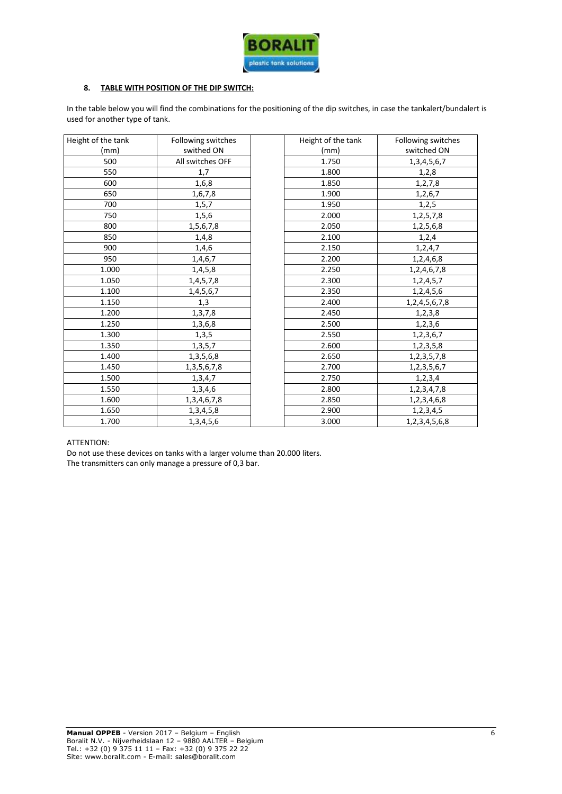

#### **8. TABLE WITH POSITION OF THE DIP SWITCH:**

In the table below you will find the combinations for the positioning of the dip switches, in case the tankalert/bundalert is used for another type of tank.

| Height of the tank | Following switches | Height of the tank | Following switches  |
|--------------------|--------------------|--------------------|---------------------|
| (mm)               | swithed ON         | (mm)               | switched ON         |
| 500                | All switches OFF   | 1.750              | 1, 3, 4, 5, 6, 7    |
| 550                | 1,7                | 1.800              | 1,2,8               |
| 600                | 1,6,8              | 1.850              | 1,2,7,8             |
| 650                | 1,6,7,8            | 1.900              | 1,2,6,7             |
| 700                | 1, 5, 7            | 1.950              | 1, 2, 5             |
| 750                | 1,5,6              | 2.000              | 1, 2, 5, 7, 8       |
| 800                | 1,5,6,7,8          | 2.050              | 1,2,5,6,8           |
| 850                | 1,4,8              | 2.100              | 1,2,4               |
| 900                | 1,4,6              | 2.150              | 1,2,4,7             |
| 950                | 1,4,6,7            | 2.200              | 1,2,4,6,8           |
| 1.000              | 1,4,5,8            | 2.250              | 1, 2, 4, 6, 7, 8    |
| 1.050              | 1,4,5,7,8          | 2.300              | 1, 2, 4, 5, 7       |
| 1.100              | 1,4,5,6,7          | 2.350              | 1,2,4,5,6           |
| 1.150              | 1,3                | 2.400              | 1, 2, 4, 5, 6, 7, 8 |
| 1.200              | 1,3,7,8            | 2.450              | 1,2,3,8             |
| 1.250              | 1,3,6,8            | 2.500              | 1,2,3,6             |
| 1.300              | 1,3,5              | 2.550              | 1, 2, 3, 6, 7       |
| 1.350              | 1,3,5,7            | 2.600              | 1,2,3,5,8           |
| 1.400              | 1, 3, 5, 6, 8      | 2.650              | 1, 2, 3, 5, 7, 8    |
| 1.450              | 1, 3, 5, 6, 7, 8   | 2.700              | 1, 2, 3, 5, 6, 7    |
| 1.500              | 1,3,4,7            | 2.750              | 1,2,3,4             |
| 1.550              | 1,3,4,6            | 2.800              | 1,2,3,4,7,8         |
| 1.600              | 1, 3, 4, 6, 7, 8   | 2.850              | 1,2,3,4,6,8         |
| 1.650              | 1,3,4,5,8          | 2.900              | 1,2,3,4,5           |
| 1.700              | 1, 3, 4, 5, 6      | 3.000              | 1, 2, 3, 4, 5, 6, 8 |

#### ATTENTION:

Do not use these devices on tanks with a larger volume than 20.000 liters.

The transmitters can only manage a pressure of 0,3 bar.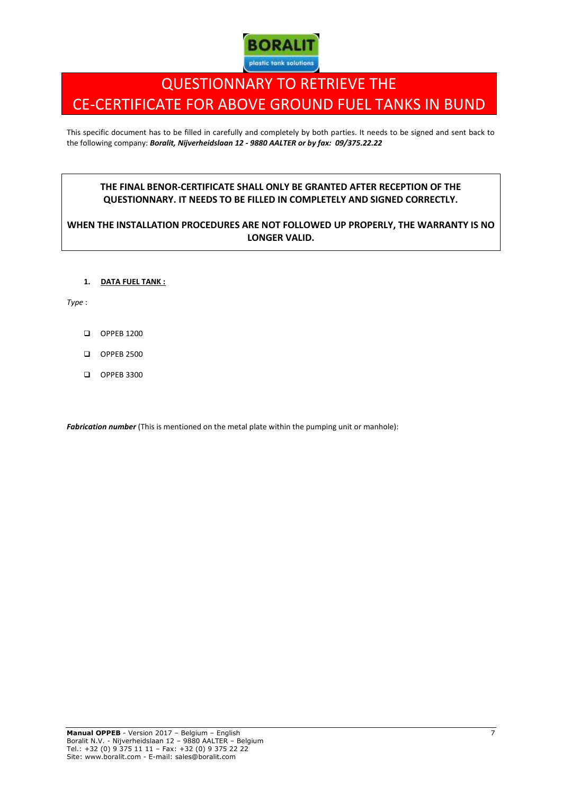

# QUESTIONNARY TO RETRIEVE THE CE-CERTIFICATE FOR ABOVE GROUND FUEL TANKS IN BUND

This specific document has to be filled in carefully and completely by both parties. It needs to be signed and sent back to the following company: *Boralit, Nijverheidslaan 12 - 9880 AALTER or by fax: 09/375.22.22*

### **THE FINAL BENOR-CERTIFICATE SHALL ONLY BE GRANTED AFTER RECEPTION OF THE QUESTIONNARY. IT NEEDS TO BE FILLED IN COMPLETELY AND SIGNED CORRECTLY.**

### **WHEN THE INSTALLATION PROCEDURES ARE NOT FOLLOWED UP PROPERLY, THE WARRANTY IS NO LONGER VALID.**

#### **1. DATA FUEL TANK :**

*Type* :

- OPPEB 1200
- OPPEB 2500
- OPPEB 3300

*Fabrication number* (This is mentioned on the metal plate within the pumping unit or manhole):